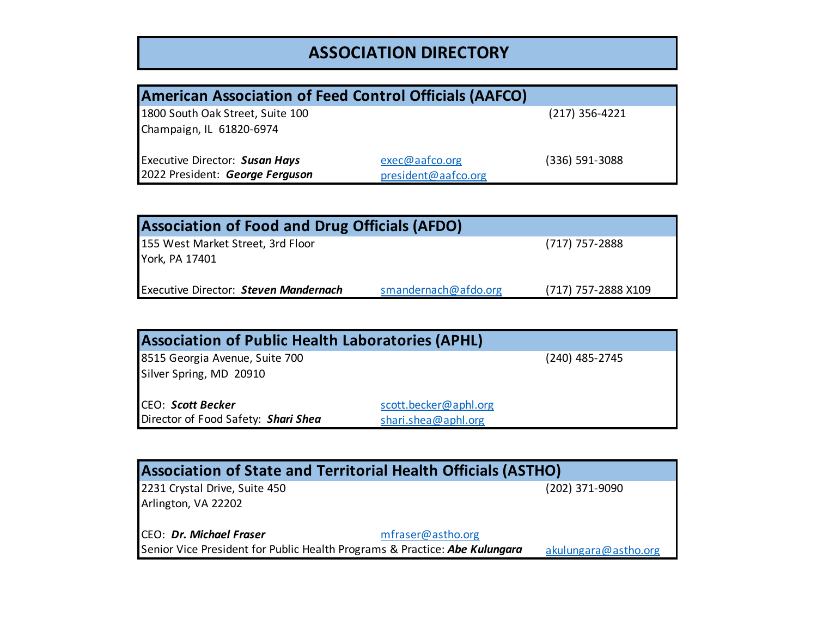## **ASSOCIATION DIRECTORY**

| <b>American Association of Feed Control Officials (AAFCO)</b> |                     |                  |  |
|---------------------------------------------------------------|---------------------|------------------|--|
| 1800 South Oak Street, Suite 100                              |                     | $(217)$ 356-4221 |  |
| Champaign, IL 61820-6974                                      |                     |                  |  |
|                                                               |                     |                  |  |
| <b>Executive Director: Susan Hays</b>                         | exec@aafco.org      | (336) 591-3088   |  |
| 2022 President: George Ferguson                               | president@aafco.org |                  |  |

| <b>Association of Food and Drug Officials (AFDO)</b> |                      |                     |  |
|------------------------------------------------------|----------------------|---------------------|--|
| 155 West Market Street, 3rd Floor<br>York, PA 17401  |                      | (717) 757-2888      |  |
| <b>Executive Director: Steven Mandernach</b>         | smandernach@afdo.org | (717) 757-2888 X109 |  |

| <b>Association of Public Health Laboratories (APHL)</b> |                       |  |
|---------------------------------------------------------|-----------------------|--|
| 8515 Georgia Avenue, Suite 700                          | (240) 485-2745        |  |
| Silver Spring, MD 20910                                 |                       |  |
| CEO: Scott Becker                                       | scott.becker@aphl.org |  |
| Director of Food Safety: Shari Shea                     | shari.shea@aphl.org   |  |

| <b>Association of State and Territorial Health Officials (ASTHO)</b>       |                      |  |  |
|----------------------------------------------------------------------------|----------------------|--|--|
| 2231 Crystal Drive, Suite 450                                              | (202) 371-9090       |  |  |
| Arlington, VA 22202                                                        |                      |  |  |
| CEO: Dr. Michael Fraser<br>mfraser@astho.org                               |                      |  |  |
| Senior Vice President for Public Health Programs & Practice: Abe Kulungara | akulungara@astho.org |  |  |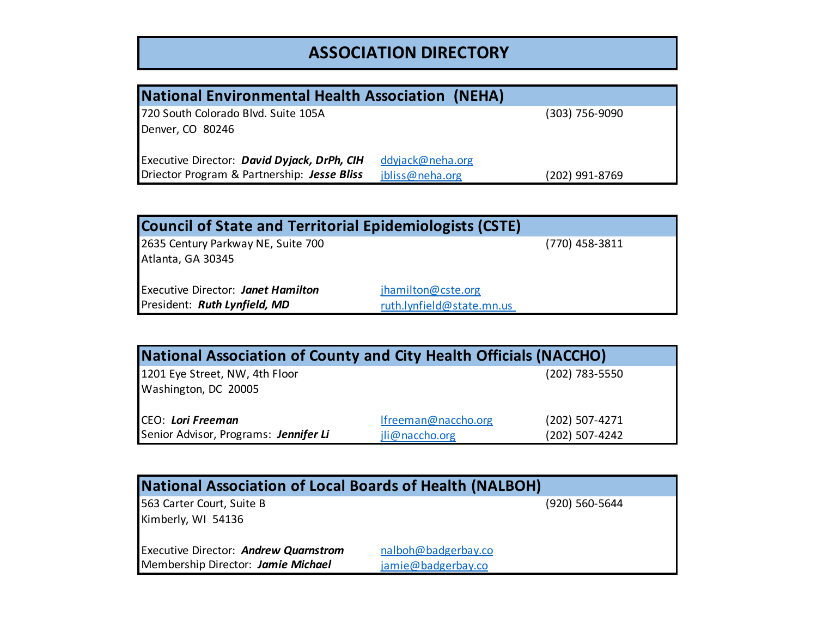## **ASSOCIATION DIRECTORY**

| National Environmental Health Association (NEHA) |                  |                |  |
|--------------------------------------------------|------------------|----------------|--|
| 720 South Colorado Blvd. Suite 105A              |                  | (303) 756-9090 |  |
| Denver, CO 80246                                 |                  |                |  |
|                                                  |                  |                |  |
| Executive Director: David Dyjack, DrPh, CIH      | ddyjack@neha.org |                |  |
| Driector Program & Partnership: Jesse Bliss      | jbliss@neha.org  | (202) 991-8769 |  |

| <b>Council of State and Territorial Epidemiologists (CSTE)</b>            |                                                 |                  |
|---------------------------------------------------------------------------|-------------------------------------------------|------------------|
| 2635 Century Parkway NE, Suite 700<br>Atlanta, GA 30345                   |                                                 | $(770)$ 458-3811 |
| <b>Executive Director: Janet Hamilton</b><br>President: Ruth Lynfield, MD | jhamilton@cste.org<br>ruth.lynfield@state.mn.us |                  |

| National Association of County and City Health Officials (NACCHO) |                     |                |  |
|-------------------------------------------------------------------|---------------------|----------------|--|
| 1201 Eye Street, NW, 4th Floor                                    |                     | (202) 783-5550 |  |
| Washington, DC 20005                                              |                     |                |  |
|                                                                   |                     |                |  |
| CEO: Lori Freeman                                                 | Ifreeman@naccho.org | (202) 507-4271 |  |
| Senior Advisor, Programs: Jennifer Li                             | jli@naccho.org      | (202) 507-4242 |  |

| <b>National Association of Local Boards of Health (NALBOH)</b> |                     |  |  |
|----------------------------------------------------------------|---------------------|--|--|
| 563 Carter Court, Suite B                                      | (920) 560-5644      |  |  |
| Kimberly, WI 54136                                             |                     |  |  |
| <b>Executive Director: Andrew Quarnstrom</b>                   | nalboh@badgerbay.co |  |  |
| Membership Director: Jamie Michael                             | jamie@badgerbay.co  |  |  |